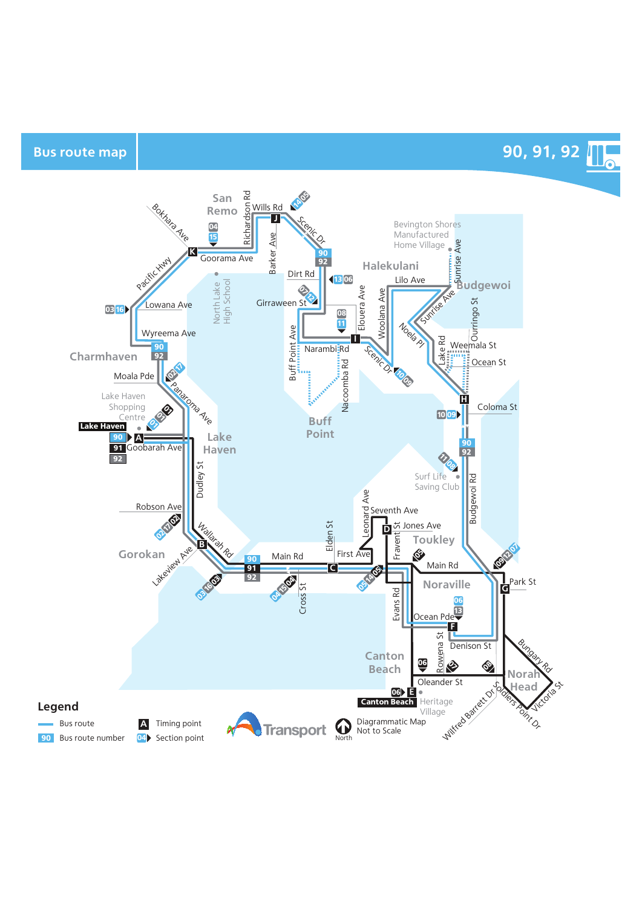Bus route map **8** and the set of the set of the set of the set of the set of the set of the set of the set of the set of the set of the set of the set of the set of the set of the set of the set of the set of the set of th